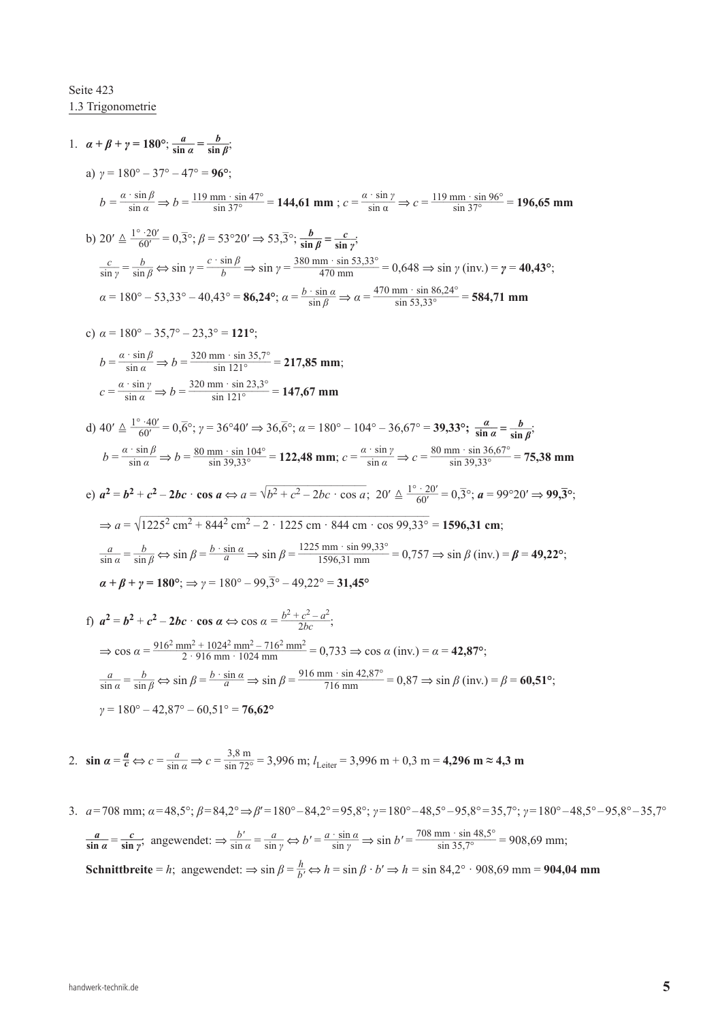## Seite 423 1.3 Trigonometrie

1. 
$$
\alpha + \beta + \gamma = 180^{\circ} \div \frac{a}{\sin a} = \frac{b}{\sin \beta}
$$
  
\na)  $\gamma = 180^{\circ} - 37^{\circ} - 47^{\circ} = 96^{\circ}$   
\nb)  $\frac{a}{\sin a} \Rightarrow b = \frac{119 \text{ mm} \cdot \sin 47^{\circ}}{\sin 37^{\circ}} = 144,61 \text{ mm}$ ;  $c = \frac{a \cdot \sin \gamma}{\sin \alpha} \Rightarrow c = \frac{119 \text{ mm} \cdot \sin 96^{\circ}}{\sin 37^{\circ}} = 196,65 \text{ mm}$   
\nb)  $20' \triangleq \frac{1^{\circ} \cdot 20'}{60'} = 0,3^{\circ}, \beta = 53^{\circ}20' \Rightarrow 53,3^{\circ}, \frac{b}{\sin \beta} = \frac{c}{\sin \gamma}$   
\n $\frac{c}{\sin \gamma} = \frac{b}{\sin \beta} \Rightarrow \sin \gamma = \frac{c \cdot \sin \beta}{\beta} \Rightarrow \sin \gamma = \frac{380 \text{ mm} \cdot \sin 35,33^{\circ}}{470 \text{ mm}}$   
\n $\frac{c}{\sin \gamma} = 180^{\circ} - 53,33^{\circ} - 40,43^{\circ} = 86,24^{\circ}; \alpha = \frac{b \cdot \sin \alpha}{\sin \beta} \Rightarrow \alpha = \frac{470 \text{ mm} \cdot \sin 86,24^{\circ}}{\sin 53,33^{\circ}} = 584,71 \text{ mm}$   
\nc)  $\alpha = 180^{\circ} - 35,7^{\circ} - 23,3^{\circ} = 121^{\circ}$   
\n $b = \frac{a \cdot \sin \beta}{\sin \alpha} \Rightarrow b = \frac{320 \text{ mm} \cdot \sin 35,7^{\circ}}{\sin 121^{\circ}}$   
\n $c = \frac{a \cdot \sin \beta}{\sin \alpha} \Rightarrow b = \frac{320 \text{ mm} \cdot \sin 35,7^{\circ}}{\sin 121^{\circ}}$   
\n $2.3^{\circ} = 177,85 \text{ mm}$   
\n $c = \frac{a \cdot \sin \beta}{\sin \alpha} \Rightarrow b = \frac{$ 

$$
\gamma = 180^{\circ} - 42.87^{\circ} - 60.51^{\circ} = 76.62^{\circ}
$$

2. 
$$
\sin \alpha = \frac{a}{c} \Leftrightarrow c = \frac{a}{\sin \alpha} \Rightarrow c = \frac{3.8 \text{ m}}{\sin 72^\circ} = 3,996 \text{ m}; l_{\text{Leiter}} = 3,996 \text{ m} + 0,3 \text{ m} = 4,296 \text{ m} \approx 4,3 \text{ m}
$$

3. *a*=708 mm; *α*=48,5°; *β*=84,2°⇒*β*′=180°−84,2°=95,8°; *γ*=180°−48,5°−95,8°=35,7°; *γ*=180°−48,5°−95,8°−35,7° 3.  $a = 708$  mm;  $\alpha = 48,5^{\circ}$ ;  $\beta = 84,2^{\circ} \Rightarrow \beta' = 180^{\circ} - 84,2^{\circ} = 95,8^{\circ}$ ;  $\gamma = 180^{\circ} - 48,5^{\circ} - 95,8^{\circ} = 35,7^{\circ}$ ;  $\gamma = 180^{\circ} - 84,2^{\circ} \Rightarrow \beta' = 180^{\circ} - 84,2^{\circ} = 95,8^{\circ}$ ;  $\gamma = 180^{\circ} - 48,5^{\circ} - 95,8^{\circ} = 3$ **Schnittbreite** = *h*; angewendet:  $\Rightarrow \sin \beta = \frac{h}{b'} \Leftrightarrow h = \sin \beta \cdot b' \Rightarrow h = \sin 84.2^{\circ} \cdot 908.69 \text{ mm} = 904.04 \text{ mm}$